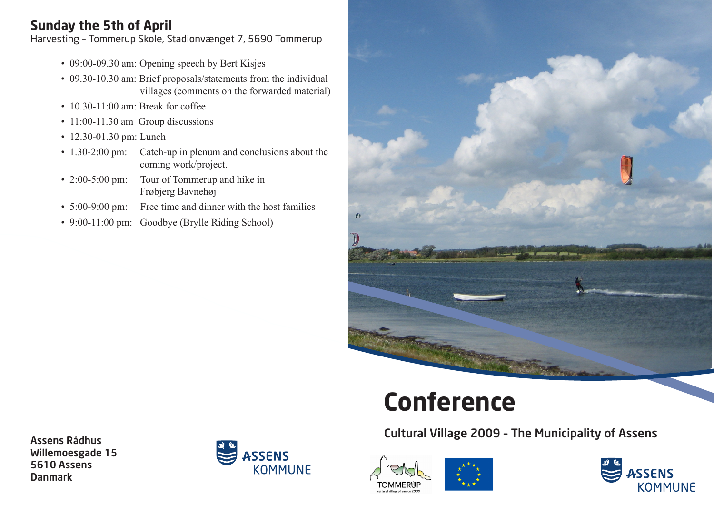## **Sunday the 5th of April**

Harvesting – Tommerup Skole, Stadionvænget 7, 5690 Tommerup

- 09:00-09.30 am: Opening speech by Bert Kisjes
- 09.30-10.30 am: Brief proposals/statements from the individual villages (comments on the forwarded material)
- 10.30-11:00 am: Break for coffee
- 11:00-11.30 am Group discussions
- 12.30-01.30 pm: Lunch
- 1.30-2:00 pm: Catch-up in plenum and conclusions about the coming work/project.
- 2:00-5:00 pm: Tour of Tommerup and hike in Frøbjerg Bavnehøj
- 5:00-9:00 pm: Free time and dinner with the host families
- 9:00-11:00 pm: Goodbye (Brylle Riding School)



# **Conference**

Cultural Village 2009 – The Municipality of Assens







Assens Rådhus Willemoesgade 15 5610 Assens Danmark